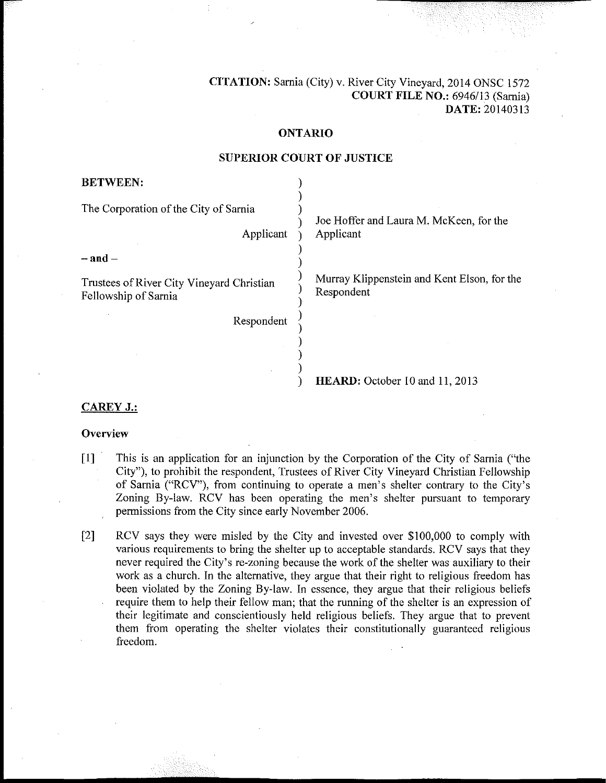**CITATION:** Sarnia (City) v. River City Vineyard, 2014 ONSC 1572 COURT FILE NO.: 6946/13 (Sarnia) DATE: 20140313

#### **ONTARIO**

# **BETWEEN:** The Corporation of the City of Sarnia Joe Hoffer and Laura M. McKeen, for the Applicant Applicant  $-$ and $-$ Murray Klippenstein and Kent Elson, for the Trustees of River City Vineyard Christian Respondent Fellowship of Sarnia Respondent

## **SUPERIOR COURT OF JUSTICE**

HEARD: October 10 and 11, 2013

### **CAREY J.:**

#### Overview

- $[1]$ This is an application for an injunction by the Corporation of the City of Sarnia ("the City"), to prohibit the respondent, Trustees of River City Vineyard Christian Fellowship of Sarnia ("RCV"), from continuing to operate a men's shelter contrary to the City's Zoning By-law. RCV has been operating the men's shelter pursuant to temporary permissions from the City since early November 2006.
- $\lceil 2 \rceil$ RCV says they were misled by the City and invested over \$100,000 to comply with various requirements to bring the shelter up to acceptable standards. RCV says that they never required the City's re-zoning because the work of the shelter was auxiliary to their work as a church. In the alternative, they argue that their right to religious freedom has been violated by the Zoning By-law. In essence, they argue that their religious beliefs require them to help their fellow man; that the running of the shelter is an expression of their legitimate and conscientiously held religious beliefs. They argue that to prevent them from operating the shelter violates their constitutionally guaranteed religious freedom.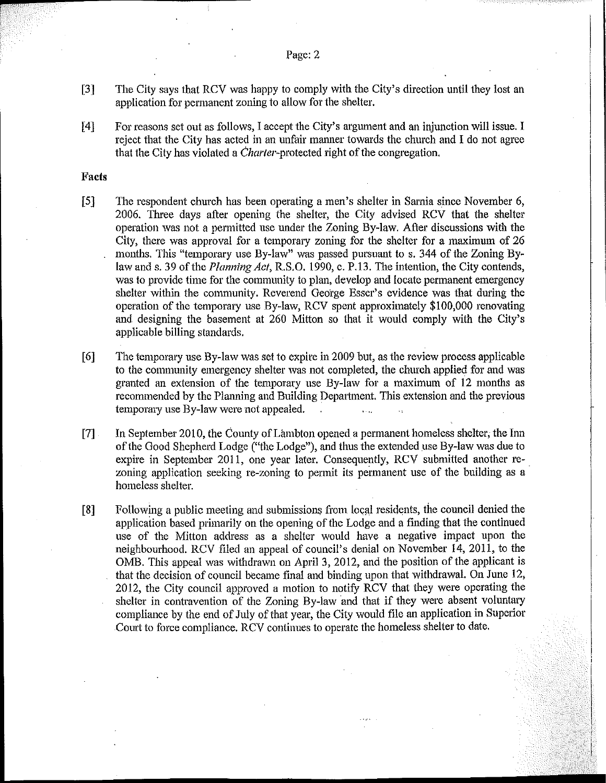- The City says that RCV was happy to comply with the City's direction until they lost an  $\lceil 3 \rceil$ application for permanent zoning to allow for the shelter.
- For reasons set out as follows, I accept the City's argument and an injunction will issue. I  $[4]$ reject that the City has acted in an unfair manner towards the church and I do not agree that the City has violated a *Charter-protected* right of the congregation.

#### Facts

- $[5]$ The respondent church has been operating a men's shelter in Sarnia since November 6, 2006. Three days after opening the shelter, the City advised RCV that the shelter operation was not a permitted use under the Zoning By-law. After discussions with the City, there was approval for a temporary zoning for the shelter for a maximum of 26 months. This "temporary use By-law" was passed pursuant to s. 344 of the Zoning Bylaw and s. 39 of the *Planning Act*, R.S.O. 1990, c. P.13. The intention, the City contends, was to provide time for the community to plan, develop and locate permanent emergency shelter within the community. Reverend George Esser's evidence was that during the operation of the temporary use By-law, RCV spent approximately \$100,000 renovating and designing the basement at 260 Mitton so that it would comply with the City's applicable billing standards.
- The temporary use By-law was set to expire in 2009 but, as the review process applicable  $[6]$ to the community emergency shelter was not completed, the church applied for and was granted an extension of the temporary use By-law for a maximum of 12 months as recommended by the Planning and Building Department. This extension and the previous temporary use By-law were not appealed.  $\mathbf{r}$
- $[7]$ In September 2010, the County of Lambton opened a permanent homeless shelter, the Inn of the Good Shepherd Lodge ("the Lodge"), and thus the extended use By-law was due to expire in September 2011, one year later. Consequently, RCV submitted another rezoning application seeking re-zoning to permit its permanent use of the building as a homeless shelter.
- $[8]$ Following a public meeting and submissions from local residents, the council denied the application based primarily on the opening of the Lodge and a finding that the continued use of the Mitton address as a shelter would have a negative impact upon the neighbourhood. RCV filed an appeal of council's denial on November 14, 2011, to the OMB. This appeal was withdrawn on April 3, 2012, and the position of the applicant is that the decision of council became final and binding upon that withdrawal. On June 12, 2012, the City council approved a motion to notify RCV that they were operating the shelter in contravention of the Zoning By-law and that if they were absent voluntary compliance by the end of July of that year, the City would file an application in Superior Court to force compliance. RCV continues to operate the homeless shelter to date.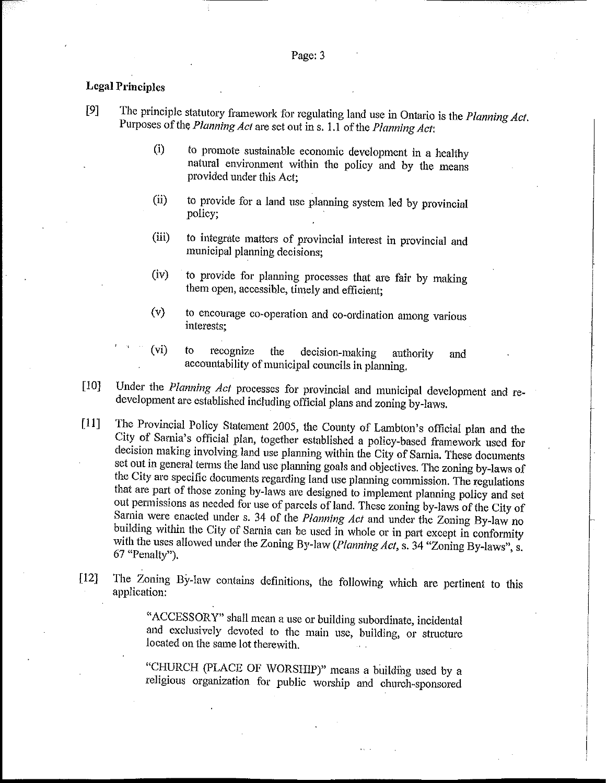#### **Legal Principles**

- $[9]$ The principle statutory framework for regulating land use in Ontario is the Planning Act. Purposes of the Planning Act are set out in s. 1.1 of the Planning Act:
	- $(i)$ to promote sustainable economic development in a healthy natural environment within the policy and by the means provided under this Act:
	- $(ii)$ to provide for a land use planning system led by provincial policy:
	- to integrate matters of provincial interest in provincial and  $(iii)$ municipal planning decisions;
	- to provide for planning processes that are fair by making  $(iv)$ them open, accessible, timely and efficient;
	- to encourage co-operation and co-ordination among various  $(v)$ interests:
	- $(v<sub>i</sub>)$ to recognize the decision-making authority and accountability of municipal councils in planning.
- $[10]$ Under the Planning Act processes for provincial and municipal development and redevelopment are established including official plans and zoning by-laws.
- The Provincial Policy Statement 2005, the County of Lambton's official plan and the  $[11]$ City of Sarnia's official plan, together established a policy-based framework used for decision making involving land use planning within the City of Sarnia. These documents set out in general terms the land use planning goals and objectives. The zoning by-laws of the City are specific documents regarding land use planning commission. The regulations that are part of those zoning by-laws are designed to implement planning policy and set out permissions as needed for use of parcels of land. These zoning by-laws of the City of Sarnia were enacted under s. 34 of the Planning Act and under the Zoning By-law no building within the City of Sarnia can be used in whole or in part except in conformity with the uses allowed under the Zoning By-law (Planning Act, s. 34 "Zoning By-laws", s. 67 "Penalty").
- The Zoning By-law contains definitions, the following which are pertinent to this  $[12]$ application:

"ACCESSORY" shall mean a use or building subordinate, incidental and exclusively devoted to the main use, building, or structure located on the same lot therewith.

"CHURCH (PLACE OF WORSHIP)" means a building used by a religious organization for public worship and church-sponsored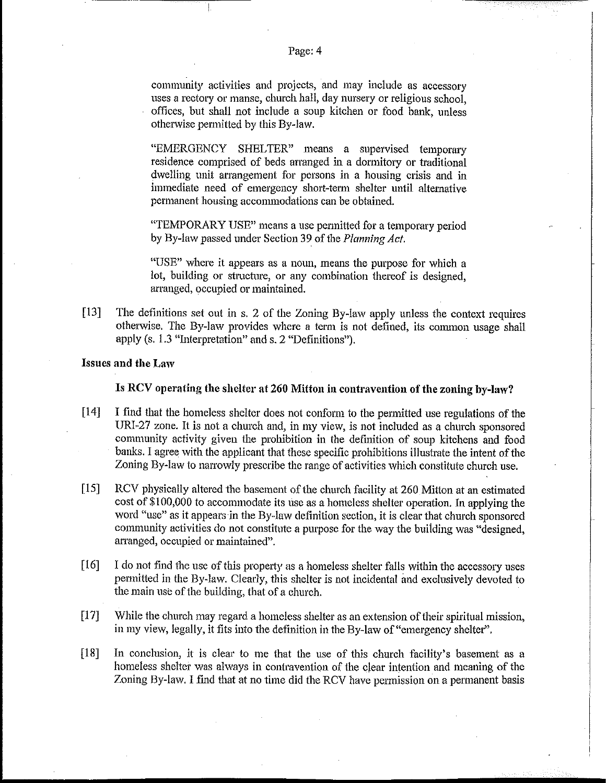community activities and projects, and may include as accessory uses a rectory or manse, church hall, day nursery or religious school. offices, but shall not include a soup kitchen or food bank, unless otherwise permitted by this By-law.

"EMERGENCY SHELTER" means a supervised temporary residence comprised of beds arranged in a dormitory or traditional dwelling unit arrangement for persons in a housing crisis and in immediate need of emergency short-term shelter until alternative permanent housing accommodations can be obtained.

"TEMPORARY USE" means a use permitted for a temporary period by By-law passed under Section 39 of the Planning Act.

"USE" where it appears as a noun, means the purpose for which a lot, building or structure, or any combination thereof is designed, arranged, occupied or maintained.

 $[13]$ The definitions set out in s. 2 of the Zoning By-law apply unless the context requires otherwise. The By-law provides where a term is not defined, its common usage shall apply (s. 1.3 "Interpretation" and s. 2 "Definitions").

#### **Issues and the Law**

#### Is RCV operating the shelter at 260 Mitton in contravention of the zoning by-law?

- $[14]$ I find that the homeless shelter does not conform to the permitted use regulations of the URI-27 zone. It is not a church and, in my view, is not included as a church sponsored community activity given the prohibition in the definition of soup kitchens and food banks. I agree with the applicant that these specific prohibitions illustrate the intent of the Zoning By-law to narrowly prescribe the range of activities which constitute church use.
- $[15]$ RCV physically altered the basement of the church facility at 260 Mitton at an estimated cost of \$100,000 to accommodate its use as a homeless shelter operation. In applying the word "use" as it appears in the By-law definition section, it is clear that church sponsored community activities do not constitute a purpose for the way the building was "designed. arranged, occupied or maintained".
- $[16]$ I do not find the use of this property as a homeless shelter falls within the accessory uses permitted in the By-law. Clearly, this shelter is not incidental and exclusively devoted to the main use of the building, that of a church.
- $\overline{17}$ While the church may regard a homeless shelter as an extension of their spiritual mission, in my view, legally, it fits into the definition in the By-law of "emergency shelter".
- $[18]$ In conclusion, it is clear to me that the use of this church facility's basement as a homeless shelter was always in contravention of the clear intention and meaning of the Zoning By-law. I find that at no time did the RCV have permission on a permanent basis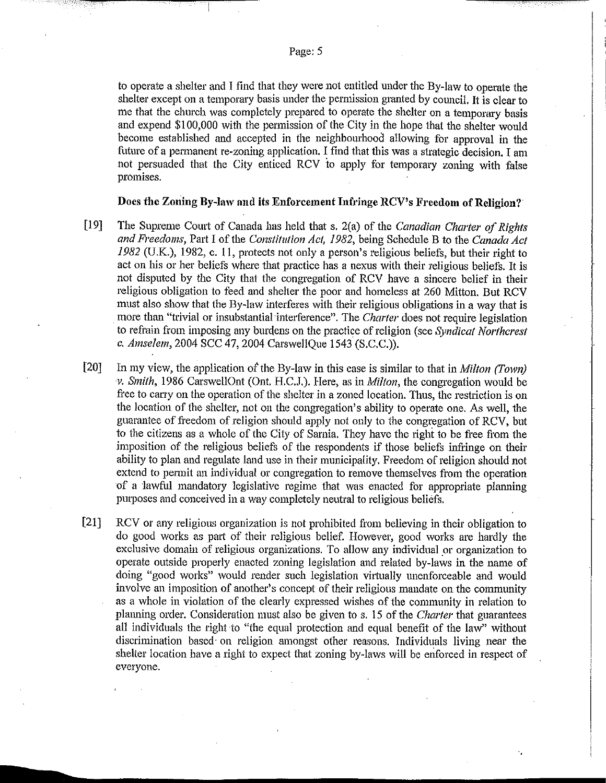to operate a shelter and I find that they were not entitled under the By-law to operate the shelter except on a temporary basis under the permission granted by council. It is clear to me that the church was completely prepared to operate the shelter on a temporary basis and expend \$100,000 with the permission of the City in the hope that the shelter would become established and accepted in the neighbourhood allowing for approval in the future of a permanent re-zoning application. I find that this was a strategic decision. I am not persuaded that the City enticed RCV to apply for temporary zoning with false promises.

#### Does the Zoning By-law and its Enforcement Infringe RCV's Freedom of Religion?

 $[19]$ The Supreme Court of Canada has held that s. 2(a) of the Canadian Charter of Rights and Freedoms, Part I of the Constitution Act, 1982, being Schedule B to the Canada Act 1982 (U.K.), 1982, c. 11, protects not only a person's religious beliefs, but their right to act on his or her beliefs where that practice has a nexus with their religious beliefs. It is not disputed by the City that the congregation of RCV have a sincere belief in their religious obligation to feed and shelter the poor and homeless at 260 Mitton, But RCV must also show that the By-law interferes with their religious obligations in a way that is more than "trivial or insubstantial interference". The Charter does not require legislation to refrain from imposing any burdens on the practice of religion (see Syndicat Northcrest c. Amselem, 2004 SCC 47, 2004 CarswellQue 1543 (S.C.C.)).

 $[20]$ In my view, the application of the By-law in this case is similar to that in *Milton (Town)* v. Smith, 1986 CarswellOnt (Ont. H.C.J.). Here, as in *Milton*, the congregation would be free to carry on the operation of the shelter in a zoned location. Thus, the restriction is on the location of the shelter, not on the congregation's ability to operate one. As well, the guarantee of freedom of religion should apply not only to the congregation of RCV, but to the citizens as a whole of the City of Sarnia. They have the right to be free from the imposition of the religious beliefs of the respondents if those beliefs infringe on their ability to plan and regulate land use in their municipality. Freedom of religion should not extend to permit an individual or congregation to remove themselves from the operation of a lawful mandatory legislative regime that was enacted for appropriate planning purposes and conceived in a way completely neutral to religious beliefs.

 $[21]$ RCV or any religious organization is not prohibited from believing in their obligation to do good works as part of their religious belief. However, good works are hardly the exclusive domain of religious organizations. To allow any individual or organization to operate outside properly enacted zoning legislation and related by-laws in the name of doing "good works" would render such legislation virtually unenforceable and would involve an imposition of another's concept of their religious mandate on the community as a whole in violation of the clearly expressed wishes of the community in relation to planning order. Consideration must also be given to s. 15 of the Charter that guarantees all individuals the right to "the equal protection and equal benefit of the law" without discrimination based on religion amongst other reasons. Individuals living near the shelter location have a right to expect that zoning by-laws will be enforced in respect of everyone.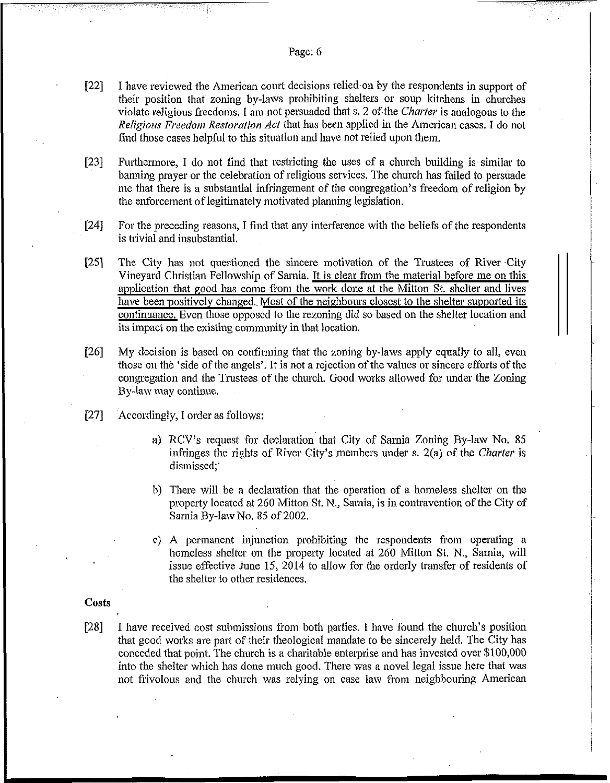- $[22]$  I have reviewed the American court decisions relied on by the respondents in support of their position that zoning by-laws prohibiting shelters or soup kitchens in churches violate religious freedoms, I am not persuaded that s. 2 of the *Charter* is analogous to the *Religious Freedom Restoration Act that has been applied in the American cases. I do not* find those cases helpftil to this situation and have not relied upon them.
- $[23]$  Furthermore, I do not find that restricting the uses of a church building is similar to banning prayer or the celebration of religious services. The church has failed to persuade me that there is a substantial infringement of the congregation's freedom of religion by the enforcement of legitimately motivated planning legislation.
- [24] For the preceding reasons, I find that any interference with the beliefs of the respondents is trivial and insubstantial.
- [25] The City has not questioned the sincere motivation of the Trustees of River City Vineyard Christian Fellowship of Sarnia. It is clear from the material before me on this application that good has come from the work done at the Mitton St. shelter and lives have been positively changed. Most of the neighbours closest to the shelter supported its continuance. Even those opposed to the rezoning did so based on the shelter location and its impact on the existing corninunity in that location.
- [26] My clecision is based on confirming that the zoning by-laws apply equally to all, even those on the 'side of the angels'. It is not a rejection of the values or sincere efforts of the congregation and the Trustees of the church. Good works allowed for under the Zoning By-law may continue.
- [27] Accordingly, I order as follows:
	- a) RCV's request for declaration that City of Sarnia Zoning By-law No. 85 infringes the rights of River City's members under s. 2(a) of the *Charter* is dismissed:
	- b) There will be a declaration that the operation of a homeless shelter on the property located at 260 Mitton St. N., Sarnia, is in contravention of the City of Sarnia By-law No. 85 of 2002.
	- c) A permanent injunction prohibiting the respondents from operating a homeless shelter on the property located at 260 Mitton St. N., Sarnia, will issue effective June 15, 2014 to allow for the orderly transfer of residents of the shelter to other residences.

#### ~ **Costs**

[28] I have received cost submissions from both parties. I have found the church's position that good works are part of their theological mandate to be sincerely held. The City has conceded that point. The church is a charitable enterprise and has invested over \$100,000 into the shelter which has done much good. There was a novel legal issue here that was not frivolous and the church was relying on case law from neighbouring American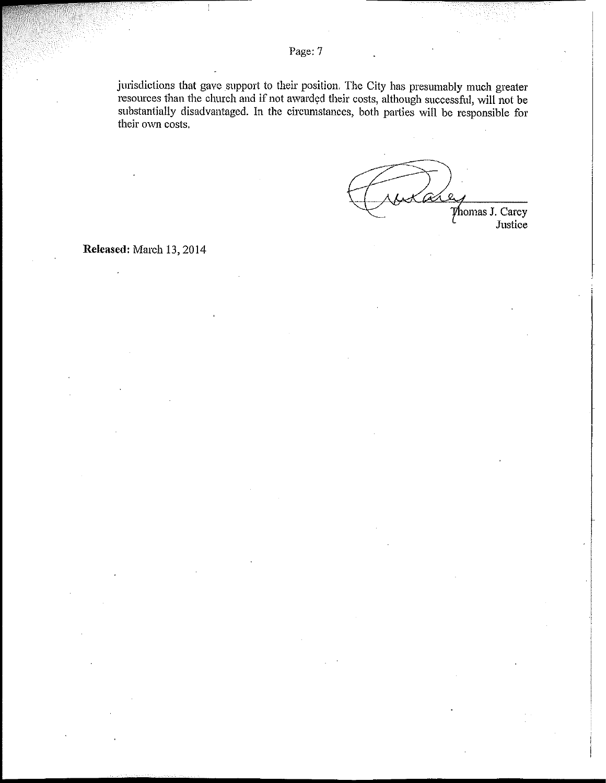jurisdictions that gave support to their position. The City has presumably much greater resources than the church and if not awarded their costs, although successful, will not be substantially disadvantaged. In the circumstances, both parties will be responsible for their own costs.

 $\mathcal{O}$ Thomas J. Carey Justice

Released: March 13, 2014